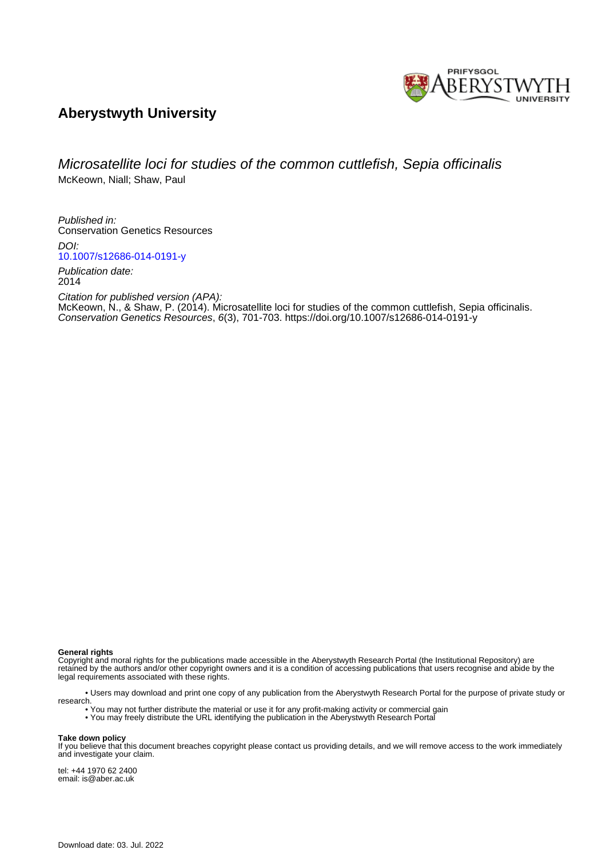

# **Aberystwyth University**

## Microsatellite loci for studies of the common cuttlefish, Sepia officinalis McKeown, Niall; Shaw, Paul

Published in: Conservation Genetics Resources

DOI: [10.1007/s12686-014-0191-y](https://doi.org/10.1007/s12686-014-0191-y)

Publication date: 2014

Citation for published version (APA): [McKeown, N.](https://pure.aber.ac.uk/portal/en/persons/niall-mckeown(2e55b6c6-d5a0-4872-bb99-b64f12cbd605).html)[, & Shaw, P.](https://pure.aber.ac.uk/portal/en/persons/paul-shaw(3c43bfb8-6eaf-4de9-9c50-6624b2c54ac1).html) (2014). [Microsatellite loci for studies of the common cuttlefish, Sepia officinalis.](https://pure.aber.ac.uk/portal/en/publications/microsatellite-loci-for-studies-of-the-common-cuttlefish-sepia-officinalis(9ba167c9-173b-4fb2-bde5-bc600c7c50b8).html) Conservation Genetics Resources, 6(3), 701-703. <https://doi.org/10.1007/s12686-014-0191-y>

**General rights**

Copyright and moral rights for the publications made accessible in the Aberystwyth Research Portal (the Institutional Repository) are retained by the authors and/or other copyright owners and it is a condition of accessing publications that users recognise and abide by the legal requirements associated with these rights.

 • Users may download and print one copy of any publication from the Aberystwyth Research Portal for the purpose of private study or research.

• You may not further distribute the material or use it for any profit-making activity or commercial gain

• You may freely distribute the URL identifying the publication in the Aberystwyth Research Portal

#### **Take down policy**

If you believe that this document breaches copyright please contact us providing details, and we will remove access to the work immediately and investigate your claim.

tel: +44 1970 62 2400 email: is@aber.ac.uk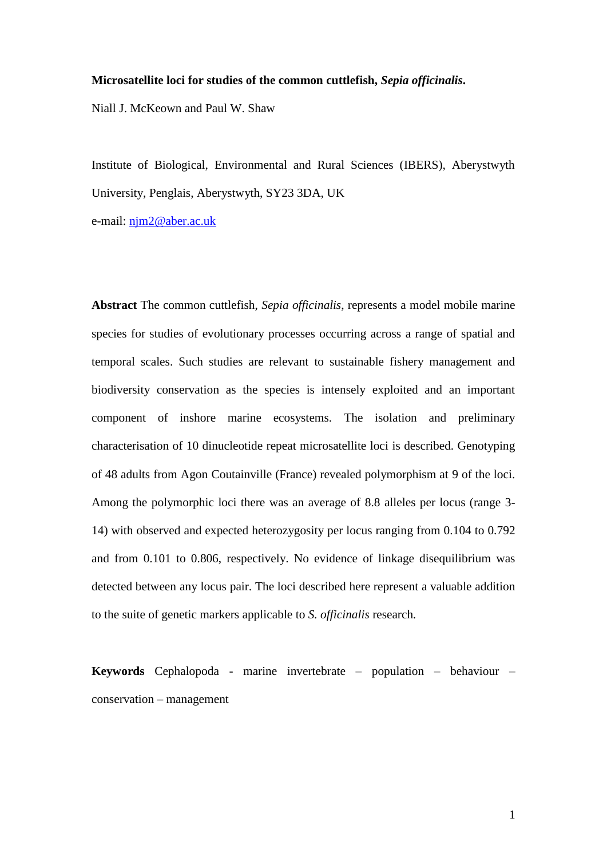## **Microsatellite loci for studies of the common cuttlefish,** *Sepia officinalis***.**

Niall J. McKeown and Paul W. Shaw

Institute of Biological, Environmental and Rural Sciences (IBERS), Aberystwyth University, Penglais, Aberystwyth, SY23 3DA, UK

e-mail: [njm2@aber.ac.uk](mailto:njm2@aber.ac.uk)

**Abstract** The common cuttlefish, *Sepia officinalis*, represents a model mobile marine species for studies of evolutionary processes occurring across a range of spatial and temporal scales. Such studies are relevant to sustainable fishery management and biodiversity conservation as the species is intensely exploited and an important component of inshore marine ecosystems. The isolation and preliminary characterisation of 10 dinucleotide repeat microsatellite loci is described. Genotyping of 48 adults from Agon Coutainville (France) revealed polymorphism at 9 of the loci. Among the polymorphic loci there was an average of 8.8 alleles per locus (range 3- 14) with observed and expected heterozygosity per locus ranging from 0.104 to 0.792 and from 0.101 to 0.806, respectively. No evidence of linkage disequilibrium was detected between any locus pair. The loci described here represent a valuable addition to the suite of genetic markers applicable to *S. officinalis* research*.*

**Keywords** Cephalopoda - marine invertebrate – population – behaviour – conservation – management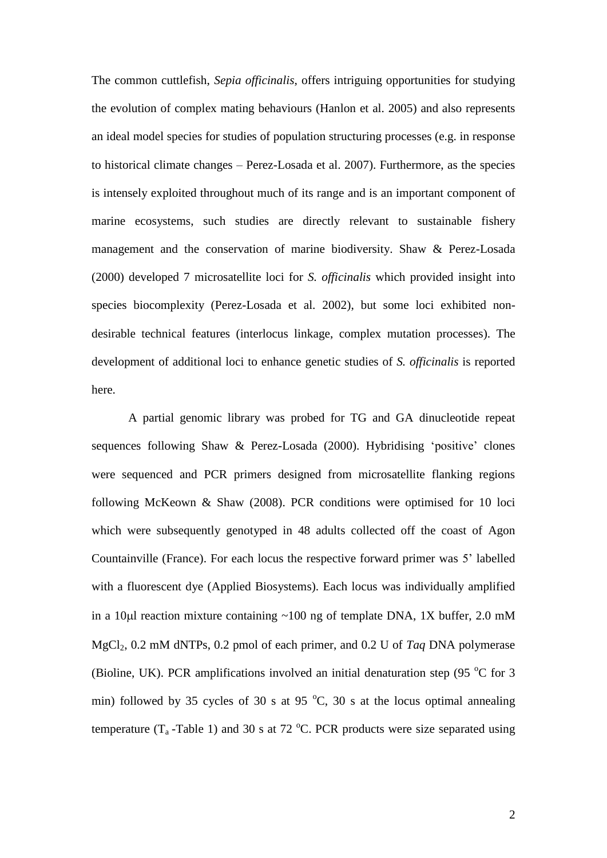The common cuttlefish, *Sepia officinalis*, offers intriguing opportunities for studying the evolution of complex mating behaviours (Hanlon et al. 2005) and also represents an ideal model species for studies of population structuring processes (e.g. in response to historical climate changes – Perez-Losada et al. 2007). Furthermore, as the species is intensely exploited throughout much of its range and is an important component of marine ecosystems, such studies are directly relevant to sustainable fishery management and the conservation of marine biodiversity. Shaw & Perez-Losada (2000) developed 7 microsatellite loci for *S. officinalis* which provided insight into species biocomplexity (Perez-Losada et al. 2002), but some loci exhibited nondesirable technical features (interlocus linkage, complex mutation processes). The development of additional loci to enhance genetic studies of *S. officinalis* is reported here.

A partial genomic library was probed for TG and GA dinucleotide repeat sequences following Shaw & Perez-Losada (2000). Hybridising 'positive' clones were sequenced and PCR primers designed from microsatellite flanking regions following McKeown & Shaw (2008). PCR conditions were optimised for 10 loci which were subsequently genotyped in 48 adults collected off the coast of Agon Countainville (France). For each locus the respective forward primer was 5' labelled with a fluorescent dye (Applied Biosystems). Each locus was individually amplified in a 10 $\mu$ l reaction mixture containing ~100 ng of template DNA, 1X buffer, 2.0 mM MgCl2, 0.2 mM dNTPs, 0.2 pmol of each primer, and 0.2 U of *Taq* DNA polymerase (Bioline, UK). PCR amplifications involved an initial denaturation step (95 $\degree$ C for 3 min) followed by 35 cycles of 30 s at 95  $^{\circ}$ C, 30 s at the locus optimal annealing temperature  $(T_a - Table 1)$  and 30 s at 72 °C. PCR products were size separated using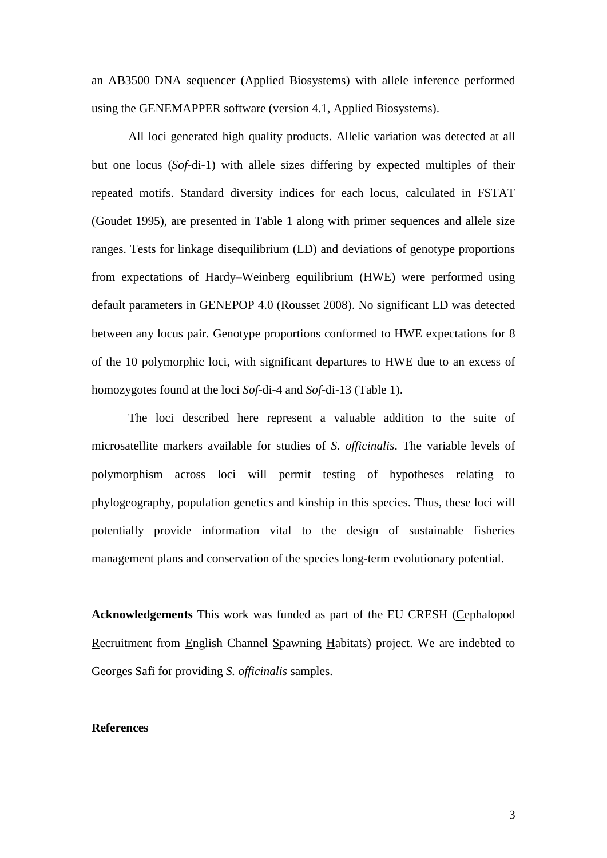an AB3500 DNA sequencer (Applied Biosystems) with allele inference performed using the GENEMAPPER software (version 4.1, Applied Biosystems).

All loci generated high quality products. Allelic variation was detected at all but one locus (*Sof*-di-1) with allele sizes differing by expected multiples of their repeated motifs. Standard diversity indices for each locus, calculated in FSTAT (Goudet 1995), are presented in Table 1 along with primer sequences and allele size ranges. Tests for linkage disequilibrium (LD) and deviations of genotype proportions from expectations of Hardy–Weinberg equilibrium (HWE) were performed using default parameters in GENEPOP 4.0 (Rousset 2008). No significant LD was detected between any locus pair. Genotype proportions conformed to HWE expectations for 8 of the 10 polymorphic loci, with significant departures to HWE due to an excess of homozygotes found at the loci *Sof*-di-4 and *Sof*-di-13 (Table 1).

The loci described here represent a valuable addition to the suite of microsatellite markers available for studies of *S. officinalis*. The variable levels of polymorphism across loci will permit testing of hypotheses relating to phylogeography, population genetics and kinship in this species. Thus, these loci will potentially provide information vital to the design of sustainable fisheries management plans and conservation of the species long-term evolutionary potential.

**Acknowledgements** This work was funded as part of the EU CRESH (Cephalopod Recruitment from English Channel Spawning Habitats) project. We are indebted to Georges Safi for providing *S. officinalis* samples.

### **References**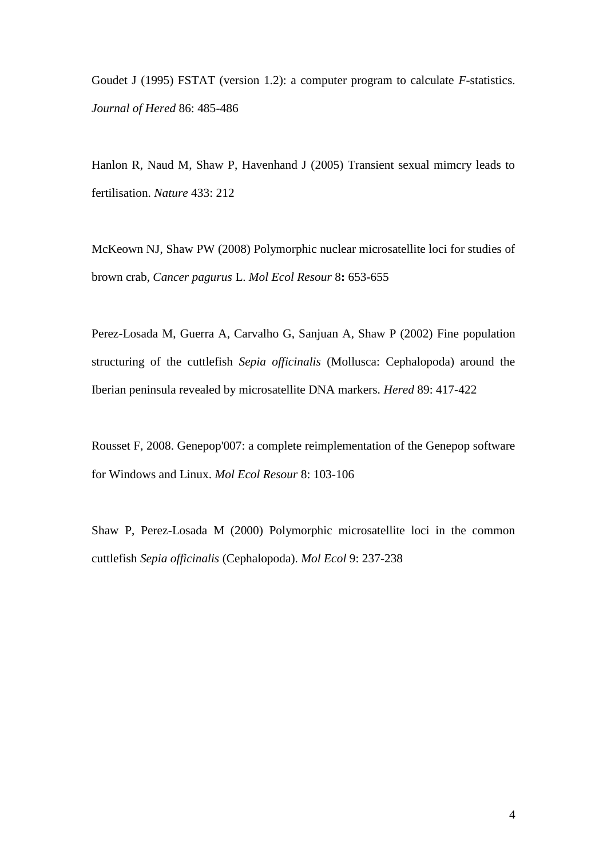Goudet J (1995) FSTAT (version 1.2): a computer program to calculate *F*-statistics. *Journal of Hered* 86: 485-486

Hanlon R, Naud M, Shaw P, Havenhand J (2005) Transient sexual mimcry leads to fertilisation. *Nature* 433: 212

McKeown NJ, Shaw PW (2008) Polymorphic nuclear microsatellite loci for studies of brown crab, *Cancer pagurus* L. *Mol Ecol Resour* 8**:** 653-655

Perez-Losada M, Guerra A, Carvalho G, Sanjuan A, Shaw P (2002) Fine population structuring of the cuttlefish *Sepia officinalis* (Mollusca: Cephalopoda) around the Iberian peninsula revealed by microsatellite DNA markers. *Hered* 89: 417-422

Rousset F, 2008. Genepop'007: a complete reimplementation of the Genepop software for Windows and Linux. *Mol Ecol Resour* 8: 103-106

Shaw P, Perez-Losada M (2000) Polymorphic microsatellite loci in the common cuttlefish *Sepia officinalis* (Cephalopoda). *Mol Ecol* 9: 237-238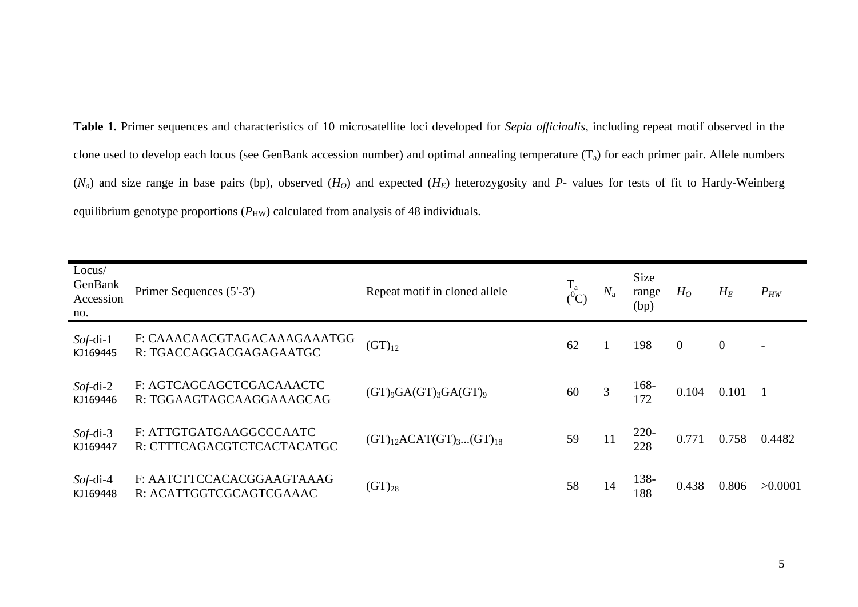**Table 1.** Primer sequences and characteristics of 10 microsatellite loci developed for *Sepia officinalis*, including repeat motif observed in the clone used to develop each locus (see GenBank accession number) and optimal annealing temperature  $(T_a)$  for each primer pair. Allele numbers  $(N_a)$  and size range in base pairs (bp), observed  $(H_O)$  and expected  $(H_E)$  heterozygosity and *P*- values for tests of fit to Hardy-Weinberg equilibrium genotype proportions  $(P_{HW})$  calculated from analysis of 48 individuals.

| Locus/<br>GenBank<br>Accession<br>no. | Primer Sequences (5'-3')                               | Repeat motif in cloned allele    | $\frac{1}{2}^{a}$ | $N_{\rm a}$ | Size<br>range<br>(bp) | $H_O$          | $H_E$          | $P_{HW}$                 |
|---------------------------------------|--------------------------------------------------------|----------------------------------|-------------------|-------------|-----------------------|----------------|----------------|--------------------------|
| $Soft-di-1$<br>KJ169445               | F: CAAACAACGTAGACAAAGAAATGG<br>R: TGACCAGGACGAGAGAATGC | $(GT)_{12}$                      | 62                |             | 198                   | $\overline{0}$ | $\overline{0}$ | $\overline{\phantom{a}}$ |
| $Sof$ -di-2<br>KJ169446               | F: AGTCAGCAGCTCGACAAACTC<br>R: TGGAAGTAGCAAGGAAAGCAG   | $(GT)_{9}GA(GT)_{3}GA(GT)_{9}$   | 60                | 3           | 168-<br>172           | 0.104          | 0.101          |                          |
| $Sof$ -di-3<br>KJ169447               | F: ATTGTGATGAAGGCCCAATC<br>R: CTTTCAGACGTCTCACTACATGC  | $(GT)_{12}ACAT(GT)_{3}(GT)_{18}$ | 59                | 11          | $220-$<br>228         | 0.771          | 0.758          | 0.4482                   |
| $Sof$ -di-4<br>KJ169448               | F: AATCTTCCACACGGAAGTAAAG<br>R: ACATTGGTCGCAGTCGAAAC   | $(GT)_{28}$                      | 58                | 14          | 138-<br>188           | 0.438          | 0.806          | >0.0001                  |